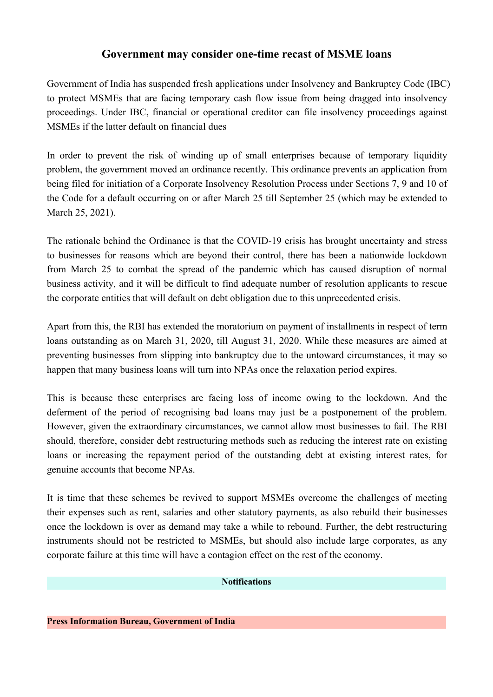## **Government may consider one-time recast of MSME loans**

Government of India has suspended fresh applications under Insolvency and Bankruptcy Code (IBC) to protect MSMEs that are facing temporary cash flow issue from being dragged into insolvency proceedings. Under IBC, financial or operational creditor can file insolvency proceedings against MSMEs if the latter default on financial dues

In order to prevent the risk of winding up of small enterprises because of temporary liquidity problem, the government moved an ordinance recently. This ordinance prevents an application from being filed for initiation of a Corporate Insolvency Resolution Process under Sections 7, 9 and 10 of the Code for a default occurring on or after March 25 till September 25 (which may be extended to March 25, 2021).

The rationale behind the Ordinance is that the COVID-19 crisis has brought uncertainty and stress to businesses for reasons which are beyond their control, there has been a nationwide lockdown from March 25 to combat the spread of the pandemic which has caused disruption of normal business activity, and it will be difficult to find adequate number of resolution applicants to rescue the corporate entities that will default on debt obligation due to this unprecedented crisis.

Apart from this, the RBI has extended the moratorium on payment of installments in respect of term loans outstanding as on March 31, 2020, till August 31, 2020. While these measures are aimed at preventing businesses from slipping into bankruptcy due to the untoward circumstances, it may so happen that many business loans will turn into NPAs once the relaxation period expires.

This is because these enterprises are facing loss of income owing to the lockdown. And the deferment of the period of recognising bad loans may just be a postponement of the problem. However, given the extraordinary circumstances, we cannot allow most businesses to fail. The RBI should, therefore, consider debt restructuring methods such as reducing the interest rate on existing loans or increasing the repayment period of the outstanding debt at existing interest rates, for genuine accounts that become NPAs.

It is time that these schemes be revived to support MSMEs overcome the challenges of meeting their expenses such as rent, salaries and other statutory payments, as also rebuild their businesses once the lockdown is over as demand may take a while to rebound. Further, the debt restructuring instruments should not be restricted to MSMEs, but should also include large corporates, as any corporate failure at this time will have a contagion effect on the rest of the economy.

## **Notifications**